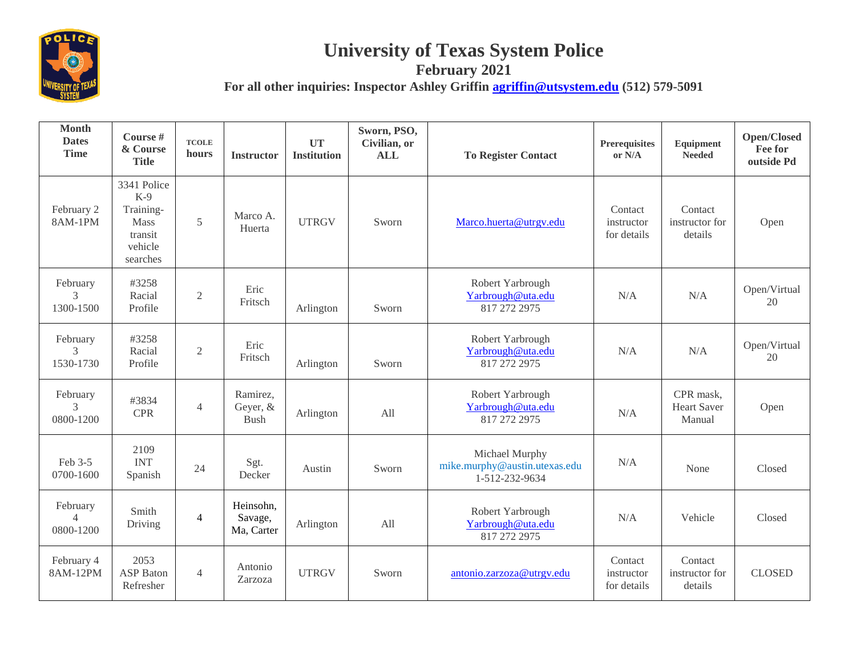

## **University of Texas System Police**

**February 2021**

**For all other inquiries: Inspector Ashley Griffin [agriffin@utsystem.edu](mailto:agriffin@utsystem.edu) (512) 579-5091**

| <b>Month</b><br><b>Dates</b><br><b>Time</b> | Course #<br>& Course<br><b>Title</b>                                               | <b>TCOLE</b><br>hours | <b>Instructor</b>                  | <b>UT</b><br><b>Institution</b> | Sworn, PSO,<br>Civilian, or<br><b>ALL</b> | <b>To Register Contact</b>                                        | <b>Prerequisites</b><br>or N/A       | Equipment<br><b>Needed</b>                | Open/Closed<br>Fee for<br>outside Pd |
|---------------------------------------------|------------------------------------------------------------------------------------|-----------------------|------------------------------------|---------------------------------|-------------------------------------------|-------------------------------------------------------------------|--------------------------------------|-------------------------------------------|--------------------------------------|
| February 2<br>8AM-1PM                       | 3341 Police<br>$K-9$<br>Training-<br><b>Mass</b><br>transit<br>vehicle<br>searches | 5                     | Marco A.<br>Huerta                 | <b>UTRGV</b>                    | Sworn                                     | Marco.huerta@utrgv.edu                                            | Contact<br>instructor<br>for details | Contact<br>instructor for<br>details      | Open                                 |
| February<br>3<br>1300-1500                  | #3258<br>Racial<br>Profile                                                         | $\overline{2}$        | Eric<br>Fritsch                    | Arlington                       | Sworn                                     | Robert Yarbrough<br>Yarbrough@uta.edu<br>817 272 2975             | N/A                                  | N/A                                       | Open/Virtual<br>20                   |
| February<br>3<br>1530-1730                  | #3258<br>Racial<br>Profile                                                         | $\overline{2}$        | Eric<br>Fritsch                    | Arlington                       | Sworn                                     | Robert Yarbrough<br>Yarbrough@uta.edu<br>817 272 2975             | N/A                                  | N/A                                       | Open/Virtual<br>20                   |
| February<br>3<br>0800-1200                  | #3834<br><b>CPR</b>                                                                | $\overline{4}$        | Ramirez,<br>Geyer, &<br>Bush       | Arlington                       | All                                       | Robert Yarbrough<br>Yarbrough@uta.edu<br>817 272 2975             | N/A                                  | CPR mask,<br><b>Heart Saver</b><br>Manual | Open                                 |
| Feb 3-5<br>0700-1600                        | 2109<br><b>INT</b><br>Spanish                                                      | 24                    | Sgt.<br>Decker                     | Austin                          | Sworn                                     | Michael Murphy<br>mike.murphy@austin.utexas.edu<br>1-512-232-9634 | N/A                                  | None                                      | Closed                               |
| February<br>$\overline{4}$<br>0800-1200     | Smith<br>Driving                                                                   | $\overline{4}$        | Heinsohn,<br>Savage,<br>Ma, Carter | Arlington                       | All                                       | Robert Yarbrough<br>Yarbrough@uta.edu<br>817 272 2975             | N/A                                  | Vehicle                                   | Closed                               |
| February 4<br>8AM-12PM                      | 2053<br><b>ASP</b> Baton<br>Refresher                                              | $\overline{4}$        | Antonio<br>Zarzoza                 | <b>UTRGV</b>                    | Sworn                                     | antonio.zarzoza@utrgv.edu                                         | Contact<br>instructor<br>for details | Contact<br>instructor for<br>details      | <b>CLOSED</b>                        |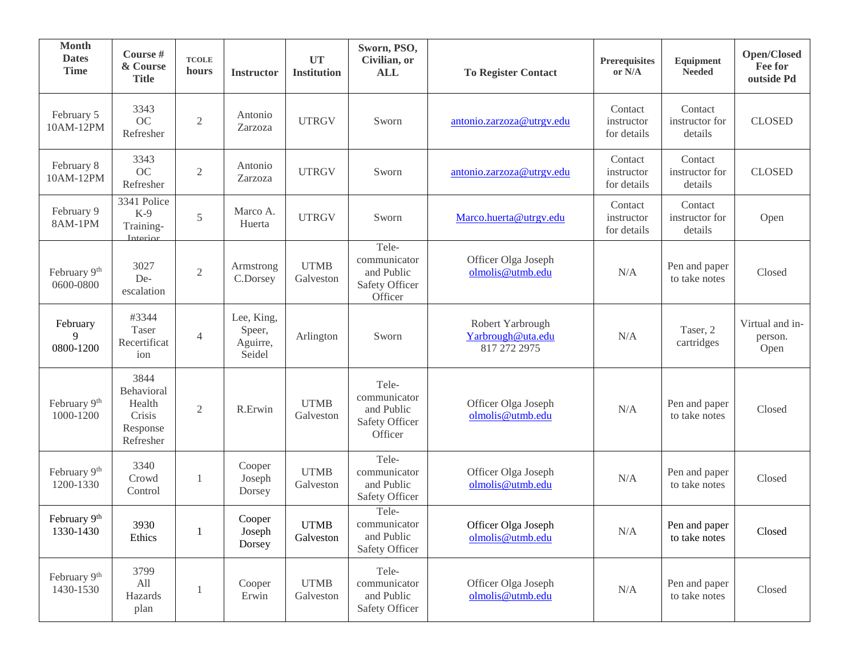| <b>Month</b><br><b>Dates</b><br><b>Time</b> | Course #<br>& Course<br><b>Title</b>                            | <b>TCOLE</b><br>hours | <b>Instructor</b>                          | <b>UT</b><br><b>Institution</b> | Sworn, PSO,<br>Civilian, or<br><b>ALL</b>                        | <b>To Register Contact</b>                            | Prerequisites<br>or N/A              | Equipment<br><b>Needed</b>           | Open/Closed<br>Fee for<br>outside Pd |
|---------------------------------------------|-----------------------------------------------------------------|-----------------------|--------------------------------------------|---------------------------------|------------------------------------------------------------------|-------------------------------------------------------|--------------------------------------|--------------------------------------|--------------------------------------|
| February 5<br>10AM-12PM                     | 3343<br>OC<br>Refresher                                         | $\mathfrak{2}$        | Antonio<br>Zarzoza                         | <b>UTRGV</b>                    | Sworn                                                            | antonio.zarzoza@utrgv.edu                             | Contact<br>instructor<br>for details | Contact<br>instructor for<br>details | <b>CLOSED</b>                        |
| February 8<br>10AM-12PM                     | 3343<br>OC<br>Refresher                                         | $\sqrt{2}$            | Antonio<br>Zarzoza                         | <b>UTRGV</b>                    | Sworn                                                            | antonio.zarzoza@utrgv.edu                             | Contact<br>instructor<br>for details | Contact<br>instructor for<br>details | <b>CLOSED</b>                        |
| February 9<br>8AM-1PM                       | 3341 Police<br>$K-9$<br>Training-<br>Interior                   | 5                     | Marco A.<br>Huerta                         | <b>UTRGV</b>                    | Sworn                                                            | Marco.huerta@utrgv.edu                                | Contact<br>instructor<br>for details | Contact<br>instructor for<br>details | Open                                 |
| February 9th<br>0600-0800                   | 3027<br>De-<br>escalation                                       | $\sqrt{2}$            | Armstrong<br>C.Dorsey                      | <b>UTMB</b><br>Galveston        | Tele-<br>communicator<br>and Public<br>Safety Officer<br>Officer | Officer Olga Joseph<br>olmolis@utmb.edu               | N/A                                  | Pen and paper<br>to take notes       | Closed                               |
| February<br>9<br>0800-1200                  | #3344<br>Taser<br>Recertificat<br>ion                           | $\overline{4}$        | Lee, King,<br>Speer,<br>Aguirre,<br>Seidel | Arlington                       | Sworn                                                            | Robert Yarbrough<br>Yarbrough@uta.edu<br>817 272 2975 | N/A                                  | Taser, 2<br>cartridges               | Virtual and in-<br>person.<br>Open   |
| February 9th<br>1000-1200                   | 3844<br>Behavioral<br>Health<br>Crisis<br>Response<br>Refresher | $\overline{2}$        | R.Erwin                                    | <b>UTMB</b><br>Galveston        | Tele-<br>communicator<br>and Public<br>Safety Officer<br>Officer | Officer Olga Joseph<br>olmolis@utmb.edu               | N/A                                  | Pen and paper<br>to take notes       | Closed                               |
| February 9th<br>1200-1330                   | 3340<br>Crowd<br>Control                                        | 1                     | Cooper<br>Joseph<br>Dorsey                 | <b>UTMB</b><br>Galveston        | Tele-<br>communicator<br>and Public<br>Safety Officer            | Officer Olga Joseph<br>olmolis@utmb.edu               | N/A                                  | Pen and paper<br>to take notes       | Closed                               |
| February 9th<br>1330-1430                   | 3930<br>Ethics                                                  | 1                     | Cooper<br>Joseph<br>Dorsey                 | <b>UTMB</b><br>Galveston        | Tele-<br>communicator<br>and Public<br>Safety Officer            | Officer Olga Joseph<br>olmolis@utmb.edu               | $\rm N/A$                            | Pen and paper<br>to take notes       | Closed                               |
| February 9th<br>1430-1530                   | 3799<br>All<br>Hazards<br>plan                                  | 1                     | Cooper<br>Erwin                            | <b>UTMB</b><br>Galveston        | Tele-<br>communicator<br>and Public<br>Safety Officer            | Officer Olga Joseph<br>olmolis@utmb.edu               | N/A                                  | Pen and paper<br>to take notes       | Closed                               |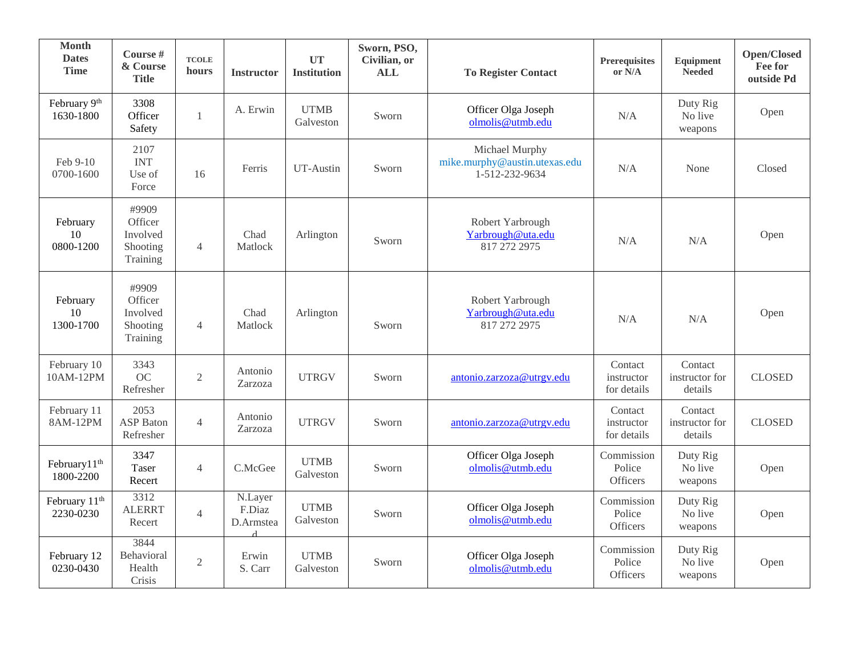| <b>Month</b><br><b>Dates</b><br><b>Time</b> | Course #<br>& Course<br><b>Title</b>                 | <b>TCOLE</b><br>hours | <b>Instructor</b>              | <b>UT</b><br><b>Institution</b> | Sworn, PSO,<br>Civilian, or<br><b>ALL</b> | <b>To Register Contact</b>                                        | <b>Prerequisites</b><br>or N/A          | Equipment<br><b>Needed</b>           | Open/Closed<br>Fee for<br>outside Pd |
|---------------------------------------------|------------------------------------------------------|-----------------------|--------------------------------|---------------------------------|-------------------------------------------|-------------------------------------------------------------------|-----------------------------------------|--------------------------------------|--------------------------------------|
| February 9th<br>1630-1800                   | 3308<br>Officer<br>Safety                            | 1                     | A. Erwin                       | <b>UTMB</b><br>Galveston        | Sworn                                     | Officer Olga Joseph<br>olmolis@utmb.edu                           | N/A                                     | Duty Rig<br>No live<br>weapons       | Open                                 |
| Feb 9-10<br>0700-1600                       | 2107<br><b>INT</b><br>Use of<br>Force                | 16                    | Ferris                         | UT-Austin                       | Sworn                                     | Michael Murphy<br>mike.murphy@austin.utexas.edu<br>1-512-232-9634 | N/A                                     | None                                 | Closed                               |
| February<br>10<br>0800-1200                 | #9909<br>Officer<br>Involved<br>Shooting<br>Training | $\overline{4}$        | Chad<br>Matlock                | Arlington                       | Sworn                                     | Robert Yarbrough<br>Yarbrough@uta.edu<br>817 272 2975             | N/A                                     | N/A                                  | Open                                 |
| February<br>10<br>1300-1700                 | #9909<br>Officer<br>Involved<br>Shooting<br>Training | $\overline{4}$        | Chad<br>Matlock                | Arlington                       | Sworn                                     | Robert Yarbrough<br>Yarbrough@uta.edu<br>817 272 2975             | N/A                                     | N/A                                  | Open                                 |
| February 10<br>10AM-12PM                    | 3343<br>OC<br>Refresher                              | $\overline{2}$        | Antonio<br>Zarzoza             | <b>UTRGV</b>                    | Sworn                                     | antonio.zarzoza@utrgv.edu                                         | Contact<br>instructor<br>for details    | Contact<br>instructor for<br>details | <b>CLOSED</b>                        |
| February 11<br>8AM-12PM                     | 2053<br><b>ASP</b> Baton<br>Refresher                | $\overline{4}$        | Antonio<br>Zarzoza             | <b>UTRGV</b>                    | Sworn                                     | antonio.zarzoza@utrgv.edu                                         | Contact<br>instructor<br>for details    | Contact<br>instructor for<br>details | <b>CLOSED</b>                        |
| February11 <sup>th</sup><br>1800-2200       | 3347<br>Taser<br>Recert                              | $\overline{4}$        | C.McGee                        | <b>UTMB</b><br>Galveston        | Sworn                                     | Officer Olga Joseph<br>olmolis@utmb.edu                           | Commission<br>Police<br>Officers        | Duty Rig<br>No live<br>weapons       | Open                                 |
| February 11 <sup>th</sup><br>2230-0230      | 3312<br><b>ALERRT</b><br>Recert                      | $\overline{4}$        | N.Layer<br>F.Diaz<br>D.Armstea | <b>UTMB</b><br>Galveston        | Sworn                                     | Officer Olga Joseph<br>olmolis@utmb.edu                           | Commission<br>Police<br>Officers        | Duty Rig<br>No live<br>weapons       | Open                                 |
| February 12<br>0230-0430                    | 3844<br>Behavioral<br>Health<br>Crisis               | $\overline{2}$        | Erwin<br>S. Carr               | <b>UTMB</b><br>Galveston        | Sworn                                     | Officer Olga Joseph<br>olmolis@utmb.edu                           | Commission<br>Police<br><b>Officers</b> | Duty Rig<br>No live<br>weapons       | Open                                 |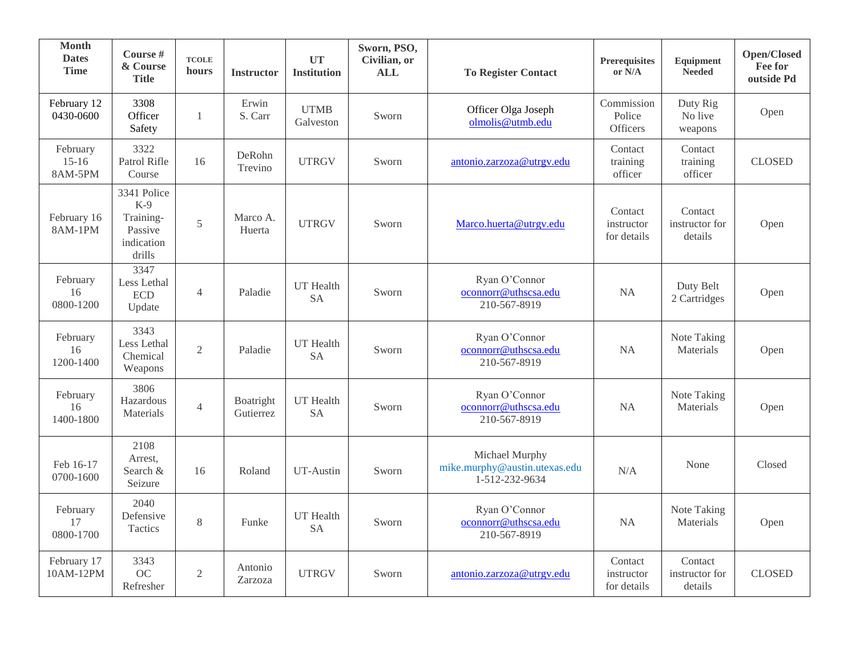| <b>Month</b><br><b>Dates</b><br><b>Time</b> | Course #<br>& Course<br><b>Title</b>                                 | <b>TCOLE</b><br>hours | <b>Instructor</b>      | <b>UT</b><br><b>Institution</b> | Sworn, PSO,<br>Civilian, or<br><b>ALL</b> | <b>To Register Contact</b>                                        | Prerequisites<br>or N/A              | Equipment<br><b>Needed</b>           | Open/Closed<br>Fee for<br>outside Pd |
|---------------------------------------------|----------------------------------------------------------------------|-----------------------|------------------------|---------------------------------|-------------------------------------------|-------------------------------------------------------------------|--------------------------------------|--------------------------------------|--------------------------------------|
| February 12<br>0430-0600                    | 3308<br>Officer<br>Safety                                            | $\mathbf{1}$          | Erwin<br>S. Carr       | <b>UTMB</b><br>Galveston        | Sworn                                     | Officer Olga Joseph<br>olmolis@utmb.edu                           | Commission<br>Police<br>Officers     | Duty Rig<br>No live<br>weapons       | Open                                 |
| February<br>$15-16$<br>8AM-5PM              | 3322<br>Patrol Rifle<br>Course                                       | 16                    | DeRohn<br>Trevino      | <b>UTRGV</b>                    | Sworn                                     | antonio.zarzoza@utrgv.edu                                         | Contact<br>training<br>officer       | Contact<br>training<br>officer       | <b>CLOSED</b>                        |
| February 16<br>8AM-1PM                      | 3341 Police<br>$K-9$<br>Training-<br>Passive<br>indication<br>drills | 5                     | Marco A.<br>Huerta     | <b>UTRGV</b>                    | Sworn                                     | Marco.huerta@utrgv.edu                                            | Contact<br>instructor<br>for details | Contact<br>instructor for<br>details | Open                                 |
| February<br>16<br>0800-1200                 | 3347<br>Less Lethal<br><b>ECD</b><br>Update                          | $\overline{4}$        | Paladie                | <b>UT</b> Health<br><b>SA</b>   | Sworn                                     | Ryan O'Connor<br>oconnorr@uthscsa.edu<br>210-567-8919             | NA                                   | Duty Belt<br>2 Cartridges            | Open                                 |
| February<br>16<br>1200-1400                 | 3343<br>Less Lethal<br>Chemical<br>Weapons                           | $\overline{2}$        | Paladie                | UT Health<br><b>SA</b>          | Sworn                                     | Ryan O'Connor<br>oconnorr@uthscsa.edu<br>210-567-8919             | NA                                   | Note Taking<br>Materials             | Open                                 |
| February<br>16<br>1400-1800                 | 3806<br>Hazardous<br>Materials                                       | $\overline{4}$        | Boatright<br>Gutierrez | UT Health<br><b>SA</b>          | Sworn                                     | Ryan O'Connor<br>oconnorr@uthscsa.edu<br>210-567-8919             | <b>NA</b>                            | Note Taking<br>Materials             | Open                                 |
| Feb 16-17<br>0700-1600                      | 2108<br>Arrest,<br>Search &<br>Seizure                               | 16                    | Roland                 | UT-Austin                       | Sworn                                     | Michael Murphy<br>mike.murphy@austin.utexas.edu<br>1-512-232-9634 | N/A                                  | None                                 | Closed                               |
| February<br>17<br>0800-1700                 | 2040<br>Defensive<br><b>Tactics</b>                                  | 8                     | Funke                  | <b>UT</b> Health<br><b>SA</b>   | Sworn                                     | Ryan O'Connor<br>oconnorr@uthscsa.edu<br>210-567-8919             | NA                                   | Note Taking<br>Materials             | Open                                 |
| February 17<br>10AM-12PM                    | 3343<br>OC<br>Refresher                                              | $\mathfrak{2}$        | Antonio<br>Zarzoza     | <b>UTRGV</b>                    | Sworn                                     | antonio.zarzoza@utrgv.edu                                         | Contact<br>instructor<br>for details | Contact<br>instructor for<br>details | <b>CLOSED</b>                        |